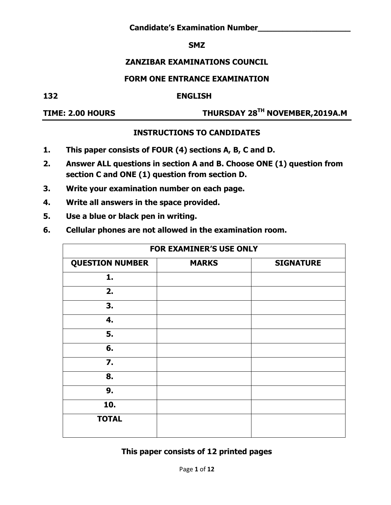### **SMZ**

### **ZANZIBAR EXAMINATIONS COUNCIL**

### **FORM ONE ENTRANCE EXAMINATION**

#### **132 ENGLISH**

**TIME: 2.00 HOURS THURSDAY 28TH NOVEMBER,2019A.M**

### **INSTRUCTIONS TO CANDIDATES**

- **1. This paper consists of FOUR (4) sections A, B, C and D.**
- **2. Answer ALL questions in section A and B. Choose ONE (1) question from section C and ONE (1) question from section D.**
- **3. Write your examination number on each page.**
- **4. Write all answers in the space provided.**
- **5. Use a blue or black pen in writing.**
- **6. Cellular phones are not allowed in the examination room.**

| <b>FOR EXAMINER'S USE ONLY</b>                             |  |  |  |  |  |
|------------------------------------------------------------|--|--|--|--|--|
| <b>QUESTION NUMBER</b><br><b>MARKS</b><br><b>SIGNATURE</b> |  |  |  |  |  |
| 1.                                                         |  |  |  |  |  |
| 2.                                                         |  |  |  |  |  |
| 3.                                                         |  |  |  |  |  |
| 4.                                                         |  |  |  |  |  |
| 5.                                                         |  |  |  |  |  |
| 6.                                                         |  |  |  |  |  |
| $\overline{7}$ .                                           |  |  |  |  |  |
| 8.                                                         |  |  |  |  |  |
| 9.                                                         |  |  |  |  |  |
| 10.                                                        |  |  |  |  |  |
| <b>TOTAL</b>                                               |  |  |  |  |  |

#### **This paper consists of 12 printed pages**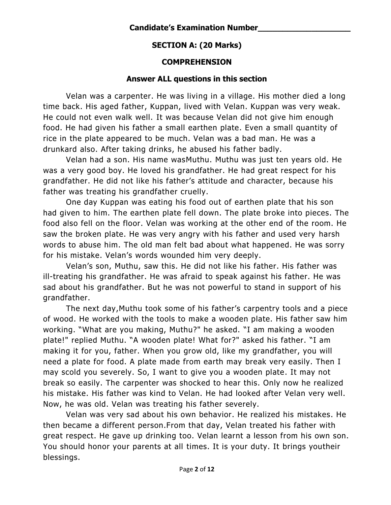## **SECTION A: (20 Marks)**

### **COMPREHENSION**

### **Answer ALL questions in this section**

Velan was a carpenter. He was living in a village. His mother died a long time back. His aged father, Kuppan, lived with Velan. Kuppan was very weak. He could not even walk well. It was because Velan did not give him enough food. He had given his father a small earthen plate. Even a small quantity of rice in the plate appeared to be much. Velan was a bad man. He was a drunkard also. After taking drinks, he abused his father badly.

Velan had a son. His name wasMuthu. Muthu was just ten years old. He was a very good boy. He loved his grandfather. He had great respect for his grandfather. He did not like his father's attitude and character, because his father was treating his grandfather cruelly.

One day Kuppan was eating his food out of earthen plate that his son had given to him. The earthen plate fell down. The plate broke into pieces. The food also fell on the floor. Velan was working at the other end of the room. He saw the broken plate. He was very angry with his father and used very harsh words to abuse him. The old man felt bad about what happened. He was sorry for his mistake. Velan's words wounded him very deeply.

Velan's son, Muthu, saw this. He did not like his father. His father was ill-treating his grandfather. He was afraid to speak against his father. He was sad about his grandfather. But he was not powerful to stand in support of his grandfather.

The next day,Muthu took some of his father's carpentry tools and a piece of wood. He worked with the tools to make a wooden plate. His father saw him working. "What are you making, Muthu?" he asked. "I am making a wooden plate!" replied Muthu. "A wooden plate! What for?" asked his father. "I am making it for you, father. When you grow old, like my grandfather, you will need a plate for food. A plate made from earth may break very easily. Then I may scold you severely. So, I want to give you a wooden plate. It may not break so easily. The carpenter was shocked to hear this. Only now he realized his mistake. His father was kind to Velan. He had looked after Velan very well. Now, he was old. Velan was treating his father severely.

Velan was very sad about his own behavior. He realized his mistakes. He then became a different person.From that day, Velan treated his father with great respect. He gave up drinking too. Velan learnt a lesson from his own son. You should honor your parents at all times. It is your duty. It brings youtheir blessings.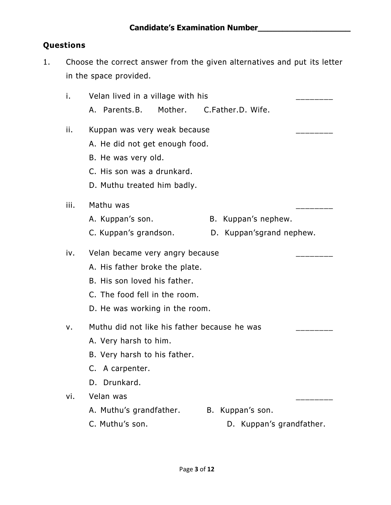## **Questions**

1. Choose the correct answer from the given alternatives and put its letter in the space provided.

| i.   | Velan lived in a village with his            |         |  |                          |  |
|------|----------------------------------------------|---------|--|--------------------------|--|
|      | A. Parents.B.                                | Mother. |  | C.Father.D. Wife.        |  |
| ii.  | Kuppan was very weak because                 |         |  |                          |  |
|      | A. He did not get enough food.               |         |  |                          |  |
|      | B. He was very old.                          |         |  |                          |  |
|      | C. His son was a drunkard.                   |         |  |                          |  |
|      | D. Muthu treated him badly.                  |         |  |                          |  |
| iii. | Mathu was                                    |         |  |                          |  |
|      | A. Kuppan's son.                             |         |  | B. Kuppan's nephew.      |  |
|      | C. Kuppan's grandson.                        |         |  | D. Kuppan'sgrand nephew. |  |
| iv.  | Velan became very angry because              |         |  |                          |  |
|      | A. His father broke the plate.               |         |  |                          |  |
|      | B. His son loved his father.                 |         |  |                          |  |
|      | C. The food fell in the room.                |         |  |                          |  |
|      | D. He was working in the room.               |         |  |                          |  |
| ν.   | Muthu did not like his father because he was |         |  |                          |  |
|      | A. Very harsh to him.                        |         |  |                          |  |
|      | B. Very harsh to his father.                 |         |  |                          |  |
|      | C. A carpenter.                              |         |  |                          |  |
|      | D. Drunkard.                                 |         |  |                          |  |
| vi.  | Velan was                                    |         |  |                          |  |
|      | A. Muthu's grandfather.                      |         |  | B. Kuppan's son.         |  |
|      | C. Muthu's son.                              |         |  | D. Kuppan's grandfather. |  |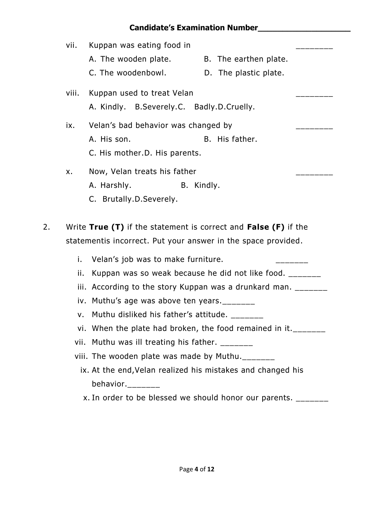|    | vii.  | Kuppan was eating food in                                           |                       |  |
|----|-------|---------------------------------------------------------------------|-----------------------|--|
|    |       | A. The wooden plate.                                                | B. The earthen plate. |  |
|    |       | C. The woodenbowl.                                                  | D. The plastic plate. |  |
|    | viii. | Kuppan used to treat Velan                                          |                       |  |
|    |       | A. Kindly. B.Severely.C. Badly.D.Cruelly.                           |                       |  |
|    | ix.   | Velan's bad behavior was changed by                                 |                       |  |
|    |       | A. His son.                                                         | B. His father.        |  |
|    |       | C. His mother.D. His parents.                                       |                       |  |
|    | X.    | Now, Velan treats his father                                        |                       |  |
|    |       | A. Harshly.<br>B. Kindly.                                           |                       |  |
|    |       | C. Brutally.D.Severely.                                             |                       |  |
|    |       |                                                                     |                       |  |
| 2. |       | Write $True$ (T) if the statement is correct and $False$ (F) if the |                       |  |
|    |       | statementis incorrect. Put your answer in the space provided.       |                       |  |
|    | i.    | Velan's job was to make furniture.                                  |                       |  |
|    | ii.   | Kuppan was so weak because he did not like food. _______            |                       |  |
|    |       | iii. According to the story Kuppan was a drunkard man. _______      |                       |  |
|    |       | iv. Muthu's age was above ten years.                                |                       |  |
|    |       | v. Muthu disliked his father's attitude. _______                    |                       |  |
|    |       | vi. When the plate had broken, the food remained in it.             |                       |  |
|    | vii.  | Muthu was ill treating his father. _______                          |                       |  |
|    |       | viii. The wooden plate was made by Muthu.                           |                       |  |
|    |       | ix. At the end, Velan realized his mistakes and changed his         |                       |  |
|    |       | behavior._______                                                    |                       |  |
|    |       | x. In order to be blessed we should honor our parents. _______      |                       |  |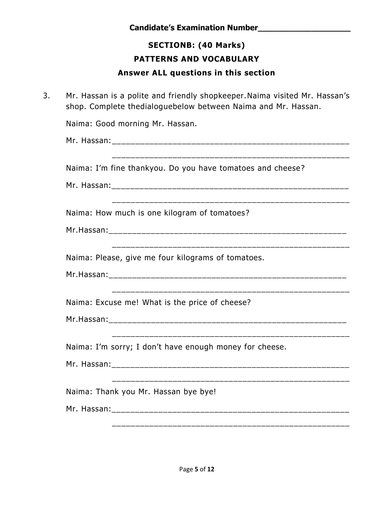# **SECTIONB: (40 Marks)**

## **PATTERNS AND VOCABULARY**

### **Answer ALL questions in this section**

| 3. | Mr. Hassan is a polite and friendly shopkeeper. Naima visited Mr. Hassan's<br>shop. Complete thedialoguebelow between Naima and Mr. Hassan. |
|----|---------------------------------------------------------------------------------------------------------------------------------------------|
|    | Naima: Good morning Mr. Hassan.                                                                                                             |
|    |                                                                                                                                             |
|    | Naima: I'm fine thankyou. Do you have tomatoes and cheese?                                                                                  |
|    |                                                                                                                                             |
|    | Naima: How much is one kilogram of tomatoes?                                                                                                |
|    |                                                                                                                                             |
|    | Naima: Please, give me four kilograms of tomatoes.                                                                                          |
|    |                                                                                                                                             |
|    | Naima: Excuse me! What is the price of cheese?                                                                                              |
|    |                                                                                                                                             |
|    | Naima: I'm sorry; I don't have enough money for cheese.                                                                                     |
|    |                                                                                                                                             |
|    | Naima: Thank you Mr. Hassan bye bye!                                                                                                        |
|    |                                                                                                                                             |
|    |                                                                                                                                             |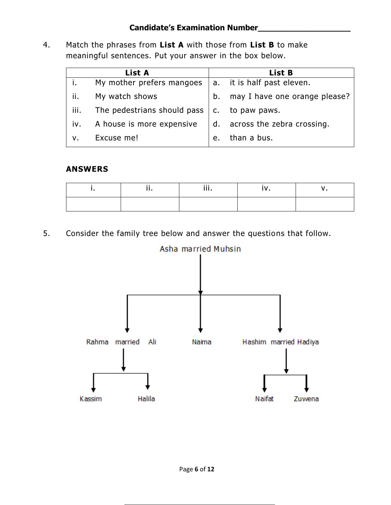4. Match the phrases from **List A** with those from **List B** to make meaningful sentences. Put your answer in the box below.

|      | List A                      |               | List B                        |
|------|-----------------------------|---------------|-------------------------------|
|      | My mother prefers mangoes   |               | a. it is half past eleven.    |
| ii.  | My watch shows              | b.            | may I have one orange please? |
| iii. | The pedestrians should pass | $C_{\bullet}$ | to paw paws.                  |
| IV.  | A house is more expensive   |               | d. across the zebra crossing. |
| ν.   | Excuse me!                  | e.            | than a bus.                   |

#### **ANSWERS**

5. Consider the family tree below and answer the questions that follow.

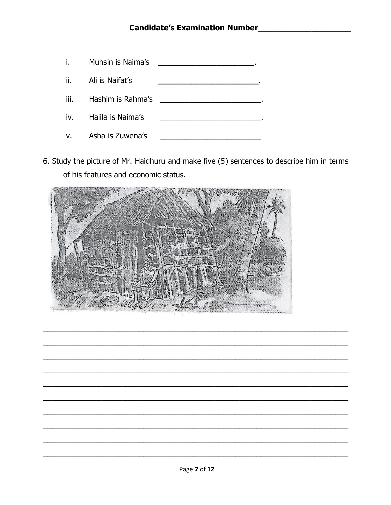

6. Study the picture of Mr. Haidhuru and make five (5) sentences to describe him in terms of his features and economic status.

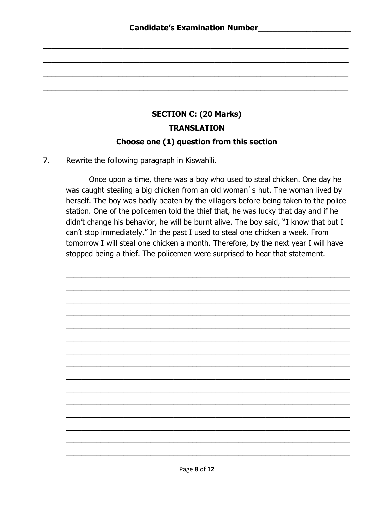\_\_\_\_\_\_\_\_\_\_\_\_\_\_\_\_\_\_\_\_\_\_\_\_\_\_\_\_\_\_\_\_\_\_\_\_\_\_\_\_\_\_\_\_\_\_\_\_\_\_\_\_\_\_\_\_\_\_\_\_\_\_\_\_\_\_\_\_\_\_\_\_\_

\_\_\_\_\_\_\_\_\_\_\_\_\_\_\_\_\_\_\_\_\_\_\_\_\_\_\_\_\_\_\_\_\_\_\_\_\_\_\_\_\_\_\_\_\_\_\_\_\_\_\_\_\_\_\_\_\_\_\_\_\_\_\_\_\_\_\_\_\_\_\_\_\_

\_\_\_\_\_\_\_\_\_\_\_\_\_\_\_\_\_\_\_\_\_\_\_\_\_\_\_\_\_\_\_\_\_\_\_\_\_\_\_\_\_\_\_\_\_\_\_\_\_\_\_\_\_\_\_\_\_\_\_\_\_\_\_\_\_\_\_\_\_\_\_\_\_

\_\_\_\_\_\_\_\_\_\_\_\_\_\_\_\_\_\_\_\_\_\_\_\_\_\_\_\_\_\_\_\_\_\_\_\_\_\_\_\_\_\_\_\_\_\_\_\_\_\_\_\_\_\_\_\_\_\_\_\_\_\_\_\_\_\_\_\_\_\_\_\_\_

# **SECTION C: (20 Marks) TRANSLATION Choose one (1) question from this section**

7. Rewrite the following paragraph in Kiswahili.

Once upon a time, there was a boy who used to steal chicken. One day he was caught stealing a big chicken from an old woman's hut. The woman lived by herself. The boy was badly beaten by the villagers before being taken to the police station. One of the policemen told the thief that, he was lucky that day and if he didn't change his behavior, he will be burnt alive. The boy said, "I know that but I can't stop immediately." In the past I used to steal one chicken a week. From tomorrow I will steal one chicken a month. Therefore, by the next year I will have stopped being a thief. The policemen were surprised to hear that statement.

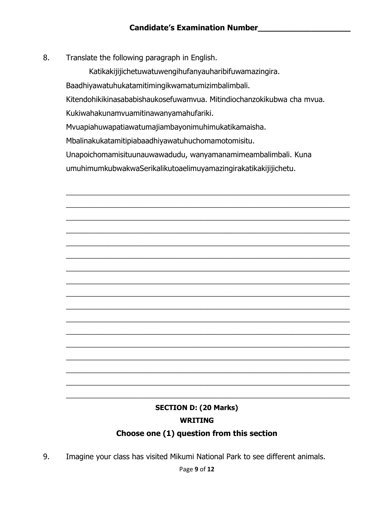8. Translate the following paragraph in English.

Katikakijijichetuwatuwengihufanyauharibifuwamazingira.

Baadhiyawatuhukatamitimingikwamatumizimbalimbali.

Kitendohikikinasababishaukosefuwamvua. Mitindiochanzokikubwa cha mvua.

Kukiwahakunamvuamitinawanyamahufariki.

Mvuapiahuwapatiawatumajiambayonimuhimukatikamaisha.

Mbalinakukatamitipiabaadhiyawatuhuchomamotomisitu.

Unapoichomamisituunauwawadudu, wanyamanamimeambalimbali. Kuna

 $\_$  , and the set of the set of the set of the set of the set of the set of the set of the set of the set of the set of the set of the set of the set of the set of the set of the set of the set of the set of the set of th  $\_$  , and the set of the set of the set of the set of the set of the set of the set of the set of the set of the set of the set of the set of the set of the set of the set of the set of the set of the set of the set of th  $\_$  , and the set of the set of the set of the set of the set of the set of the set of the set of the set of the set of the set of the set of the set of the set of the set of the set of the set of the set of the set of th  $\_$  , and the set of the set of the set of the set of the set of the set of the set of the set of the set of the set of the set of the set of the set of the set of the set of the set of the set of the set of the set of th  $\_$  , and the set of the set of the set of the set of the set of the set of the set of the set of the set of the set of the set of the set of the set of the set of the set of the set of the set of the set of the set of th  $\_$  , and the set of the set of the set of the set of the set of the set of the set of the set of the set of the set of the set of the set of the set of the set of the set of the set of the set of the set of the set of th  $\_$  , and the set of the set of the set of the set of the set of the set of the set of the set of the set of the set of the set of the set of the set of the set of the set of the set of the set of the set of the set of th  $\_$  , and the set of the set of the set of the set of the set of the set of the set of the set of the set of the set of the set of the set of the set of the set of the set of the set of the set of the set of the set of th  $\_$  , and the set of the set of the set of the set of the set of the set of the set of the set of the set of the set of the set of the set of the set of the set of the set of the set of the set of the set of the set of th \_\_\_\_\_\_\_\_\_\_\_\_\_\_\_\_\_\_\_\_\_\_\_\_\_\_\_\_\_\_\_\_\_\_\_\_\_\_\_\_\_\_\_\_\_\_\_\_\_\_\_\_\_\_\_\_\_\_\_\_\_\_\_\_\_\_\_\_\_\_\_\_\_\_  $\_$  , and the set of the set of the set of the set of the set of the set of the set of the set of the set of the set of the set of the set of the set of the set of the set of the set of the set of the set of the set of th  $\_$  , and the set of the set of the set of the set of the set of the set of the set of the set of the set of the set of the set of the set of the set of the set of the set of the set of the set of the set of the set of th  $\_$  , and the set of the set of the set of the set of the set of the set of the set of the set of the set of the set of the set of the set of the set of the set of the set of the set of the set of the set of the set of th  $\_$  , and the set of the set of the set of the set of the set of the set of the set of the set of the set of the set of the set of the set of the set of the set of the set of the set of the set of the set of the set of th  $\_$  , and the set of the set of the set of the set of the set of the set of the set of the set of the set of the set of the set of the set of the set of the set of the set of the set of the set of the set of the set of th  $\_$  , and the set of the set of the set of the set of the set of the set of the set of the set of the set of the set of the set of the set of the set of the set of the set of the set of the set of the set of the set of th  $\_$  , and the set of the set of the set of the set of the set of the set of the set of the set of the set of the set of the set of the set of the set of the set of the set of the set of the set of the set of the set of th

umuhimumkubwakwaSerikalikutoaelimuyamazingirakatikakijijichetu.

# **SECTION D: (20 Marks) WRITING Choose one (1) question from this section**

9. Imagine your class has visited Mikumi National Park to see different animals.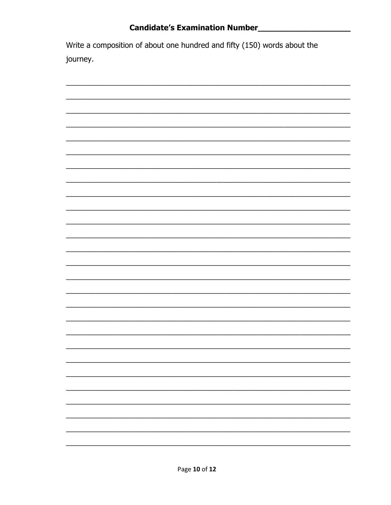## Candidate's Examination Number

Write a composition of about one hundred and fifty (150) words about the journey.

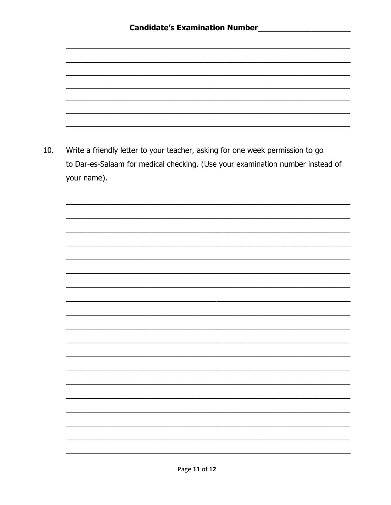